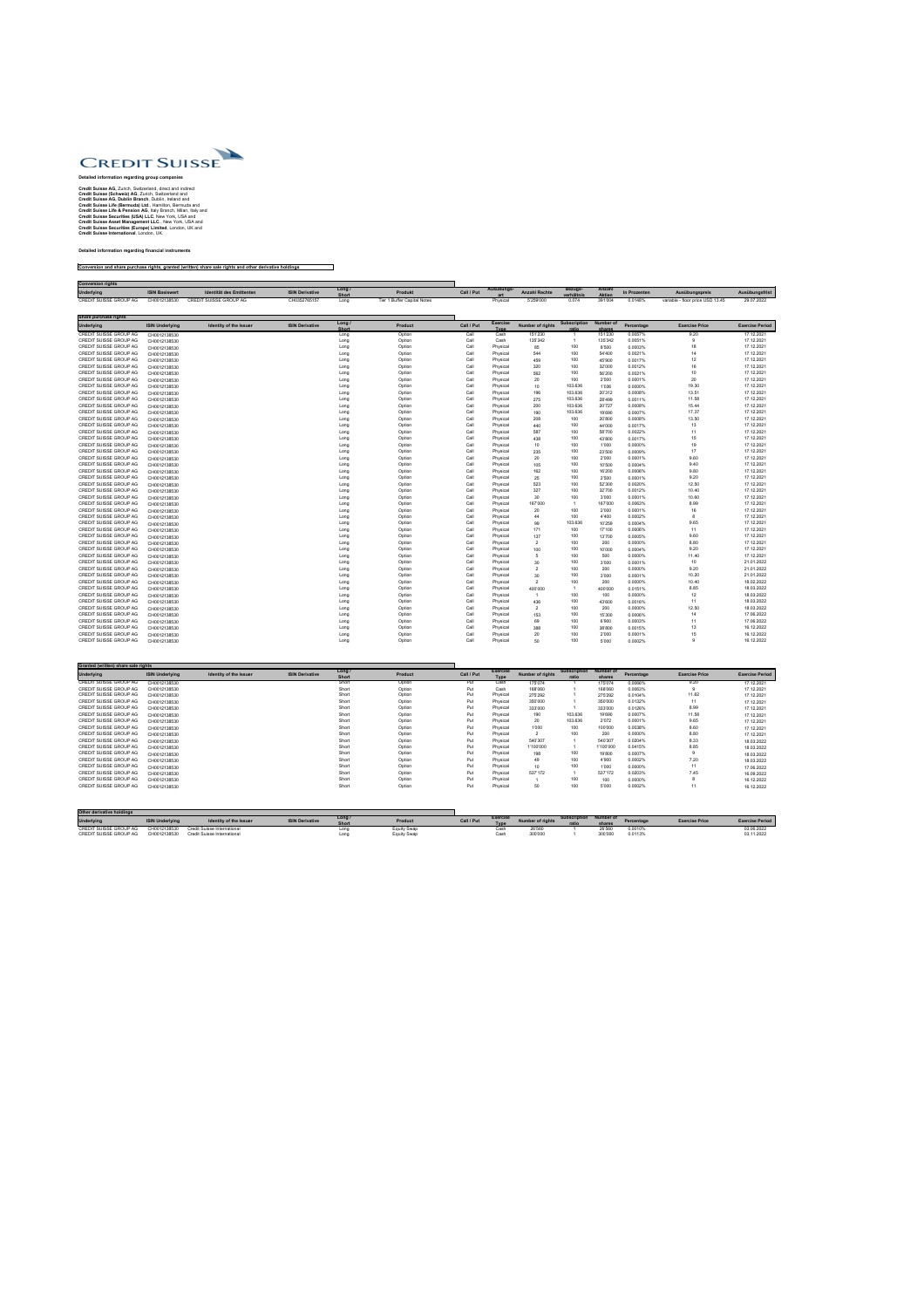

## **Detailed information regarding group companies**

**Credit Suisse AG,** Zurich, Switzerland, direct and indirect **Credit Suisse (Schweiz) AG**, Zurich, Switzerland and **Credit Suisse AG, Dublin Branch**, Dublin, Ireland and **Credit Suisse Life (Bermuda) Ltd**., Hamilton, Bermuda and **Credit Suisse Life & Pension AG**, Italy Branch, Milan, Italy and **Credit Suisse Securities (USA) LLC**, New York, USA and **Credit Suisse Asset Management LLC**., New York, USA and **Credit Suisse Securities (Europe) Limited**, London, UK and **Credit Suisse International**, London, UK.

## **Detailed information regarding financial instruments**

## **Conversion and share purchase rights, granted (written) share sale rights and other derivative holdings**

| <b>Conversion rights</b> |                       |                          |                        |                      |                             |            |            |                      |                              |                         |              |                                  |                |
|--------------------------|-----------------------|--------------------------|------------------------|----------------------|-----------------------------|------------|------------|----------------------|------------------------------|-------------------------|--------------|----------------------------------|----------------|
| <b>Underlying</b>        | <b>ISIN Basiswert</b> | Identität des Emittenten | <b>ISIN Derivative</b> | Long<br><b>Short</b> | <b>Produkt</b>              | Call / Put | Ausübungs- | <b>Anzahl Rechte</b> | <b>Bezugs-</b><br>verhältnis | Anzahl<br><b>Aktien</b> | In Prozenten | Ausübungspreis                   | Ausübungsfrist |
| CREDIT SUISSE GROUP AG   | CH0012138530          | CREDIT SUISSE GROUP AG   | CH0352765157           | Long                 | Tier 1 Buffer Capital Notes |            | Physical   | 7'259'000            | 0.074                        | 391'004                 | 0.0148%      | variable - floor price USD 13.45 | 29.07.2022     |

| Share purchase rights         |                        |                               |                        |                        |                |            |                                |                         |                              |                            |            |                       |                        |
|-------------------------------|------------------------|-------------------------------|------------------------|------------------------|----------------|------------|--------------------------------|-------------------------|------------------------------|----------------------------|------------|-----------------------|------------------------|
| <b>Underlying</b>             | <b>ISIN Underlying</b> | <b>Identity of the Issuer</b> | <b>ISIN Derivative</b> | Long /<br><b>Short</b> | <b>Product</b> | Call / Put | <b>Exercise</b><br><b>Type</b> | <b>Number of rights</b> | <b>Subscription</b><br>ratio | <b>Number of</b><br>shares | Percentage | <b>Exercise Price</b> | <b>Exercise Period</b> |
| <b>CREDIT SUISSE GROUP AG</b> | CH0012138530           |                               |                        | Long                   | Option         | Call       | Cash                           | 151'230                 |                              | 151'230                    | 0.0057%    | 9.20                  | 17.12.2021             |
| <b>CREDIT SUISSE GROUP AG</b> | CH0012138530           |                               |                        | Long                   | Option         | Call       | Cash                           | 135'342                 |                              | 135'342                    | 0.0051%    |                       | 17.12.2021             |
| <b>CREDIT SUISSE GROUP AG</b> | CH0012138530           |                               |                        | Long                   | Option         | Call       | Physical                       | 85                      | 100                          | 8'500                      | 0.0003%    |                       | 17.12.2021             |
| <b>CREDIT SUISSE GROUP AG</b> | CH0012138530           |                               |                        | Long                   | Option         | Call       | Physical                       | 544                     | 100                          | 54'400                     | 0.0021%    | 14                    | 17.12.2021             |
| CREDIT SUISSE GROUP AG        | CH0012138530           |                               |                        | Long                   | Option         | Call       | Physical                       | 459                     | 100                          | 45'900                     | 0.0017%    | 12                    | 17.12.2021             |
| <b>CREDIT SUISSE GROUP AG</b> | CH0012138530           |                               |                        | Long                   | Option         | Call       | Physical                       | 320                     | 100                          | 32'000                     | 0.0012%    |                       | 17.12.2021             |
| <b>CREDIT SUISSE GROUP AG</b> | CH0012138530           |                               |                        | Long                   | Option         | Call       | Physical                       | 562                     | 100                          | 56'200                     | 0.0021%    | 10                    | 17.12.2021             |
| <b>CREDIT SUISSE GROUP AG</b> | CH0012138530           |                               |                        | Long                   | Option         | Call       | Physical                       | 20                      | 100                          | 2'000                      | 0.0001%    | 20                    | 17.12.2021             |
| CREDIT SUISSE GROUP AG        | CH0012138530           |                               |                        | Long                   | Option         | Call       | Physical                       | 10                      | 103.636                      | 1'036                      | 0.0000%    | 19.30                 | 17.12.2021             |
| CREDIT SUISSE GROUP AG        | CH0012138530           |                               |                        | Long                   | Option         | Call       | Physical                       | 196                     | 103.636                      | 20'312                     | 0.0008%    | 13.51                 | 17.12.2021             |
| CREDIT SUISSE GROUP AG        | CH0012138530           |                               |                        | Long                   | Option         | Call       | Physical                       | 275                     | 103.636                      | 28'499                     | 0.0011%    | 11.58                 | 17.12.2021             |
| CREDIT SUISSE GROUP AG        | CH0012138530           |                               |                        | Long                   | Option         | Call       | Physical                       | 200                     | 103.636                      | 20'727                     | 0.0008%    | 15.44                 | 17.12.2021             |
| <b>CREDIT SUISSE GROUP AG</b> | CH0012138530           |                               |                        | Long                   | Option         | Call       | Physical                       | 190                     | 103.636                      | 19'690                     | 0.0007%    | 17.37                 | 17.12.2021             |
| <b>CREDIT SUISSE GROUP AG</b> | CH0012138530           |                               |                        | Long                   | Option         | Call       | Physical                       | 208                     | 100                          | 20'800                     | 0.0008%    | 13.50                 | 17.12.2021             |
| CREDIT SUISSE GROUP AG        | CH0012138530           |                               |                        | Long                   | Option         | Call       | Physical                       | 440                     | 100                          | 44'000                     | 0.0017%    | 13.                   | 17.12.2021             |
| <b>CREDIT SUISSE GROUP AG</b> | CH0012138530           |                               |                        | Long                   | Option         | Call       | Physical                       | 587                     | 100                          | 58'700                     | 0.0022%    | 11                    | 17.12.2021             |
| <b>CREDIT SUISSE GROUP AG</b> | CH0012138530           |                               |                        | Long                   | Option         | Call       | Physical                       | 438                     | 100                          | 43'800                     | 0.0017%    | 15                    | 17.12.2021             |
| CREDIT SUISSE GROUP AG        | CH0012138530           |                               |                        | Long                   | Option         | Call       | Physical                       | 10                      | 100                          | 1'000                      | 0.0000%    | 19                    | 17.12.2021             |
| CREDIT SUISSE GROUP AG        | CH0012138530           |                               |                        | Long                   | Option         | Call       | Physical                       | 235                     | 100                          | 23'500                     | 0.0009%    | 17                    | 17.12.2021             |
| <b>CREDIT SUISSE GROUP AG</b> | CH0012138530           |                               |                        | Long                   | Option         | Call       | Physical                       | 20                      | 100                          | 2'000                      | 0.0001%    | 9.60                  | 17.12.2021             |
| CREDIT SUISSE GROUP AG        | CH0012138530           |                               |                        | Long                   | Option         | Call       | Physical                       | 105                     | 100                          | 10'500                     | 0.0004%    | 9.40                  | 17.12.2021             |
| CREDIT SUISSE GROUP AG        | CH0012138530           |                               |                        | Long                   | Option         | Call       | Physical                       | 162                     | 100                          | 16'200                     | 0.0006%    | 9.80                  | 17.12.2021             |
| <b>CREDIT SUISSE GROUP AG</b> | CH0012138530           |                               |                        | Long                   | Option         | Call       | Physical                       | 25                      | 100                          | 2'500                      | 0.0001%    | 9.20                  | 17.12.2021             |
| <b>CREDIT SUISSE GROUP AG</b> | CH0012138530           |                               |                        | Long                   | Option         | Call       | Physical                       | 523                     | 100                          | 52'300                     | 0.0020%    | 12.50                 | 17.12.2021             |
| <b>CREDIT SUISSE GROUP AG</b> | CH0012138530           |                               |                        | Long                   | Option         | Call       | Physical                       | 327                     | 100                          | 32'700                     | 0.0012%    | 10.40                 | 17.12.2021             |
| <b>CREDIT SUISSE GROUP AG</b> | CH0012138530           |                               |                        | Long                   | Option         | Call       | Physical                       | 30                      | 100                          | 3'000                      | 0.0001%    | 10.60                 | 17.12.2021             |
| CREDIT SUISSE GROUP AG        | CH0012138530           |                               |                        | Long                   | Option         | Call       | Physical                       | 167'000                 |                              | 167'000                    | 0.0063%    | 8.99                  | 17.12.2021             |
| <b>CREDIT SUISSE GROUP AG</b> | CH0012138530           |                               |                        | Long                   | Option         | Call       | Physical                       | 20                      | 100                          | 2'000                      | 0.0001%    |                       | 17.12.2021             |
| CREDIT SUISSE GROUP AG        | CH0012138530           |                               |                        | Long                   | Option         | Call       | Physical                       | 44                      | 100                          | 4'400                      | 0.0002%    |                       | 17.12.2021             |
| CREDIT SUISSE GROUP AG        | CH0012138530           |                               |                        | Long                   | Option         | Call       | Physical                       | 99                      | 103.636                      | 10'259                     | 0.0004%    | 9.65                  | 17.12.2021             |
| <b>CREDIT SUISSE GROUP AG</b> | CH0012138530           |                               |                        | Long                   | Option         | Call       | Physical                       | 171                     | 100                          | 17'100                     | 0.0006%    | 11                    | 17.12.2021             |
| <b>CREDIT SUISSE GROUP AG</b> | CH0012138530           |                               |                        | Long                   | Option         | Call       | Physical                       | 137                     | 100                          | 13'700                     | 0.0005%    | 9.60                  | 17.12.2021             |
| CREDIT SUISSE GROUP AG        | CH0012138530           |                               |                        | Long                   | Option         | Call       | Physical                       |                         | 100                          | 200                        | 0.0000%    | 8.80                  | 17.12.2021             |
| <b>CREDIT SUISSE GROUP AG</b> | CH0012138530           |                               |                        | Long                   | Option         | Call       | Physical                       | 100                     | 100                          | 10'000                     | 0.0004%    | 9.20                  | 17.12.2021             |
| <b>CREDIT SUISSE GROUP AG</b> | CH0012138530           |                               |                        | Long                   | Option         | Call       | Physical                       |                         | 100                          | 500                        | 0.0000%    | 11.40                 | 17.12.2021             |
| <b>CREDIT SUISSE GROUP AG</b> | CH0012138530           |                               |                        | Long                   | Option         | Call       | Physical                       | 30                      | 100                          | 3'000                      | 0.0001%    | 10 <sup>°</sup>       | 21.01.2022             |
| <b>CREDIT SUISSE GROUP AG</b> | CH0012138530           |                               |                        | Long                   | Option         | Call       | Physical                       |                         | 100                          | 200                        | 0.0000%    | 9.20                  | 21.01.2022             |
| CREDIT SUISSE GROUP AG        | CH0012138530           |                               |                        | Long                   | Option         | Call       | Physical                       | 30                      | 100                          | 3'000                      | 0.0001%    | 10.20                 | 21.01.2022             |
| CREDIT SUISSE GROUP AG        | CH0012138530           |                               |                        | Long                   | Option         | Call       | Physical                       |                         | 100                          | 200                        | 0.0000%    | 10.40                 | 18.02.2022             |
| <b>CREDIT SUISSE GROUP AG</b> | CH0012138530           |                               |                        | Long                   | Option         | Call       | Physical                       | 400'000                 |                              | 400'000                    | 0.0151%    | 8.85                  | 18.03.2022             |
| <b>CREDIT SUISSE GROUP AG</b> | CH0012138530           |                               |                        | Long                   | Option         | Call       | Physical                       |                         | 100                          | 100                        | 0.0000%    | 12                    | 18.03.2022             |
| <b>CREDIT SUISSE GROUP AG</b> |                        |                               |                        | Long                   | Option         | Call       | Physical                       | 436                     | 100                          | 43'600                     | 0.0016%    | 11                    | 18.03.2022             |
| CREDIT SUISSE GROUP AG        | CH0012138530           |                               |                        | Long                   | Option         | Call       | Physical                       |                         | 100                          | 200                        | 0.0000%    | 12.50                 | 18.03.2022             |
| CREDIT SUISSE GROUP AG        | CH0012138530           |                               |                        | Long                   | Option         | Call       | Physical                       | 153                     | 100                          | 15'300                     | 0.0006%    | 14                    | 17.06.2022             |
| CREDIT SUISSE GROUP AG        | CH0012138530           |                               |                        | Long                   | Option         | Call       | Physical                       | 69                      | 100                          | 6'900                      | 0.0003%    | 11                    | 17.06.2022             |
| CREDIT SUISSE GROUP AG        | CH0012138530           |                               |                        | Long                   | Option         | Call       | Physical                       | 388                     | 100                          | 38'800                     | 0.0015%    | 13.                   | 16.12.2022             |
| CREDIT SUISSE GROUP AG        | CH0012138530           |                               |                        | Long                   | Option         | Call       | Physical                       | 20                      | 100                          | 2'000                      | 0.0001%    |                       | 16.12.2022             |
| CREDIT SUISSE GROUP AG        | CH0012138530           |                               |                        | Long                   | Option         | Call       | Physical                       | 50                      | 100                          | 5'000                      | 0.0002%    |                       | 16.12.2022             |
|                               | CH0012138530           |                               |                        |                        |                |            |                                |                         |                              |                            |            |                       |                        |

| Granted (written) share sale rights |                        |                               |                        |                        |                |            |                                |                         |                              |                            |            |                       |                        |
|-------------------------------------|------------------------|-------------------------------|------------------------|------------------------|----------------|------------|--------------------------------|-------------------------|------------------------------|----------------------------|------------|-----------------------|------------------------|
| <b>Underlying</b>                   | <b>ISIN Underlying</b> | <b>Identity of the Issuer</b> | <b>ISIN Derivative</b> | Long /<br><b>Short</b> | <b>Product</b> | Call / Put | <b>Exercise</b><br><b>Type</b> | <b>Number of rights</b> | <b>Subscription</b><br>ratio | <b>Number of</b><br>shares | Percentage | <b>Exercise Price</b> | <b>Exercise Period</b> |
| CREDIT SUISSE GROUP AG              | CH0012138530           |                               |                        | Short                  | Option         | Put        | Cash                           | 175'074                 |                              | 175'074                    | 0.0066%    | 9.20                  | 17.12.2021             |
| <b>CREDIT SUISSE GROUP AG</b>       | CH0012138530           |                               |                        | Short                  | Option         | Put        | Cash                           | 168'060                 |                              | 168'060                    | 0.0063%    |                       | 17.12.2021             |
| <b>CREDIT SUISSE GROUP AG</b>       | CH0012138530           |                               |                        | Short                  | Option         | Put        | Physical                       | 275'292                 |                              | 275'292                    | 0.0104%    | 11.62                 | 17.12.2021             |
| CREDIT SUISSE GROUP AG              | CH0012138530           |                               |                        | Short                  | Option         | Put        | Physical                       | 350'000                 |                              | 350'000                    | 0.0132%    | 11                    | 17.12.2021             |
| CREDIT SUISSE GROUP AG              | CH0012138530           |                               |                        | Short                  | Option         | Put        | Physical                       | 333'000                 |                              | 333'000                    | 0.0126%    | 8.99                  | 17.12.2021             |
| CREDIT SUISSE GROUP AG              | CH0012138530           |                               |                        | Short                  | Option         | Put        | Physical                       | 190                     | 103.636                      | 19'690                     | 0.0007%    | 11.58                 | 17.12.2021             |
| <b>CREDIT SUISSE GROUP AG</b>       | CH0012138530           |                               |                        | Short                  | Option         | Put        | Physical                       | 20                      | 103.636                      | 2'072                      | 0.0001%    | 9.65                  | 17.12.2021             |
| CREDIT SUISSE GROUP AG              | CH0012138530           |                               |                        | Short                  | Option         | Put        | Physical                       | 1'000                   | 100                          | 100'000                    | 0.0038%    | 8.60                  | 17.12.2021             |
| <b>CREDIT SUISSE GROUP AG</b>       | CH0012138530           |                               |                        | Short                  | Option         | Put        | Physical                       |                         | 100                          | 200                        | 0.0000%    | 8.80                  | 17.12.2021             |
| CREDIT SUISSE GROUP AG              | CH0012138530           |                               |                        | Short                  | Option         | Put        | Physical                       | 540'307                 |                              | 540'307                    | 0.0204%    | 8.33                  | 18.03.2022             |
| CREDIT SUISSE GROUP AG              | CH0012138530           |                               |                        | Short                  | Option         | Put        | Physical                       | 1'100'000               |                              | 1'100'000                  | 0.0415%    | 8.85                  | 18.03.2022             |
| <b>CREDIT SUISSE GROUP AG</b>       | CH0012138530           |                               |                        | Short                  | Option         | Put        | Physical                       | 198                     | 100                          | 19'800                     | 0.0007%    |                       | 18.03.2022             |
| <b>CREDIT SUISSE GROUP AG</b>       | CH0012138530           |                               |                        | Short                  | Option         | Put        | Physical                       | 49                      | 100                          | 4'900                      | 0.0002%    | 7.20                  | 18.03.2022             |
| <b>CREDIT SUISSE GROUP AG</b>       | CH0012138530           |                               |                        | Short                  | Option         | Put        | Physical                       | 10                      | 100                          | 1'000                      | 0.0000%    | 11                    | 17.06.2022             |
| CREDIT SUISSE GROUP AG              | CH0012138530           |                               |                        | Short                  | Option         | Put        | Physical                       | 537'172                 |                              | 537'172                    | 0.0203%    | 7.45                  | 16.09.2022             |
| <b>CREDIT SUISSE GROUP AG</b>       | CH0012138530           |                               |                        | Short                  | Option         | Put        | Physical                       |                         | 100                          | 100                        | 0.0000%    |                       | 16.12.2022             |
| <b>CREDIT SUISSE GROUP AG</b>       | CH0012138530           |                               |                        | Short                  | Option         | Put        | Physical                       | 50                      | 100                          | 5'000                      | 0.0002%    |                       | 16.12.2022             |
|                                     |                        |                               |                        |                        |                |            |                                |                         |                              |                            |            |                       |                        |

| Other derivative holdings |                        |                                    |                        |              |                    |            |               |                         |                        |         |            |                       |                        |
|---------------------------|------------------------|------------------------------------|------------------------|--------------|--------------------|------------|---------------|-------------------------|------------------------|---------|------------|-----------------------|------------------------|
| <b>Underlying</b>         | <b>ISIN Underlying</b> | <b>Identity of the Issuer</b>      | <b>ISIN Derivative</b> | Long         |                    | Call / Put | <b>Exerci</b> | <b>Number of rights</b> | Subscription Number of |         | Percentage | <b>Exercise Price</b> | <b>Exercise Period</b> |
|                           |                        |                                    |                        | Short        | Product            |            | <b>Type</b>   |                         |                        | share.  |            |                       |                        |
| CREDIT SUISSE GROUP AG    | CH0012138530           | <b>Credit Suisse International</b> |                        |              |                    |            |               |                         |                        | 26'560  | 0.0010%    |                       | 03.06.2022             |
| CREDIT SUISSE GROUP AG    | CH0012138530           | <b>Credit Suisse International</b> |                        | nn.<br>יווש∟ | <b>Equity Swap</b> |            |               | 300'000                 |                        | 300'000 | 0.0113%    |                       | 03.11.2022             |